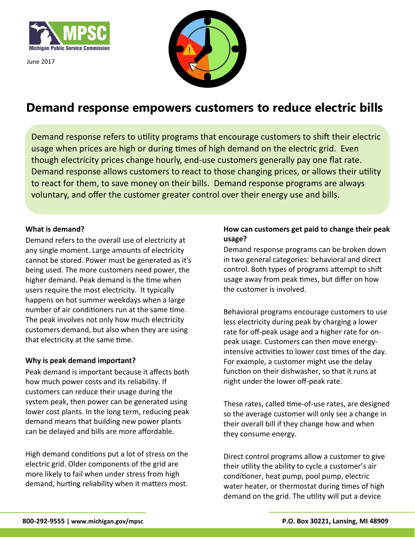

June 2017



# **Demand response empowers customers to reduce electric bills**

Demand response refers to utility programs that encourage customers to shift their electric usage when prices are high or during times of high demand on the electric grid. Even though electricity prices change hourly, end-use customers generally pay one flat rate. Demand response allows customers to react to those changing prices, or allows their utility to react for them, to save money on their bills. Demand response programs are always voluntary, and offer the customer greater control over their energy use and bills.

### **What is demand?**

Demand refers to the overall use of electricity at any single moment. Large amounts of electricity cannot be stored. Power must be generated as it's being used. The more customers need power, the higher demand. Peak demand is the time when users require the most electricity. It typically happens on hot summer weekdays when a large number of air conditioners run at the same time. The peak involves not only how much electricity customers demand, but also when they are using that electricity at the same time.

## **Why is peak demand important?**

Peak demand is important because it affects both how much power costs and its reliability. If customers can reduce their usage during the system peak, then power can be generated using lower cost plants. In the long term, reducing peak demand means that building new power plants can be delayed and bills are more affordable.

High demand conditions put a lot of stress on the electric grid. Older components of the grid are more likely to fail when under stress from high demand, hurting reliability when it matters most.

## **How can customers get paid to change their peak usage?**

Demand response programs can be broken down in two general categories: behavioral and direct control. Both types of programs attempt to shift usage away from peak times, but differ on how the customer is involved.

Behavioral programs encourage customers to use less electricity during peak by charging a lower rate for off-peak usage and a higher rate for onpeak usage. Customers can then move energyintensive activities to lower cost times of the day. For example, a customer might use the delay function on their dishwasher, so that it runs at night under the lower off-peak rate.

These rates, called time-of-use rates, are designed so the average customer will only see a change in their overall bill if they change how and when they consume energy.

Direct control programs allow a customer to give their utility the ability to cycle a customer's air conditioner, heat pump, pool pump, electric water heater, or thermostat during times of high demand on the grid. The utility will put a device